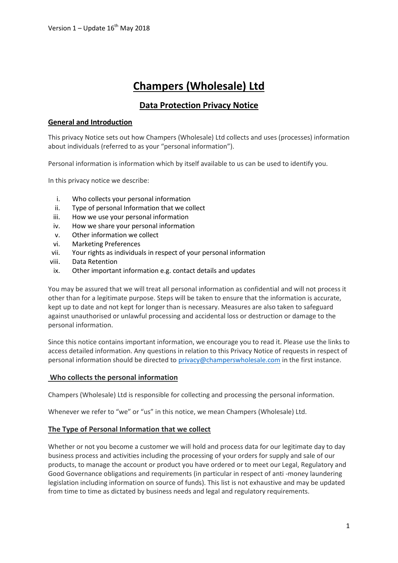# **Champers (Wholesale) Ltd**

## **Data Protection Privacy Notice**

## **General and Introduction**

This privacy Notice sets out how Champers (Wholesale) Ltd collects and uses (processes) information about individuals (referred to as your "personal information").

Personal information is information which by itself available to us can be used to identify you.

In this privacy notice we describe:

- i. [Who collects your personal information](https://legal.brown-forman.com/privacy-policy/english/#who_collects_your_personal_information)
- ii. Type of personal [Information that we collect](https://legal.brown-forman.com/privacy-policy/english/#information_that_we_collect)
- iii. How we use your [personal information](https://legal.brown-forman.com/privacy-policy/english/#information_we_receive_from_you)
- iv. How we share your [personal information](https://legal.brown-forman.com/privacy-policy/english/#how_do_we_use_personal_data)
- v. [Other information we collect](https://legal.brown-forman.com/privacy-policy/english/#other_information_we_collect)
- vi. Marketing Preferences
- vii. [Your rights as individuals in respect of your](https://legal.brown-forman.com/privacy-policy/english/#your_rights_in_respect_of_your_information) personal information
- viii. Data Retention
- ix. [Other important information](https://legal.brown-forman.com/privacy-policy/english/#other_important_information) e.g. contact details and updates

You may be assured that we will treat all personal information as confidential and will not process it other than for a legitimate purpose. Steps will be taken to ensure that the information is accurate, kept up to date and not kept for longer than is necessary. Measures are also taken to safeguard against unauthorised or unlawful processing and accidental loss or destruction or damage to the personal information.

Since this notice contains important information, we encourage you to read it. Please use the links to access detailed information. Any questions in relation to this Privacy Notice of requests in respect of personal information should be directed t[o privacy@champerswholesale.com](mailto:privacy@champerswholesale.com) in the first instance.

## **Who collects the personal information**

Champers (Wholesale) Ltd is responsible for collecting and processing the personal information.

Whenever we refer to "we" or "us" in this notice, we mean Champers (Wholesale) Ltd.

## **The Type of Personal Information that we collect**

Whether or not you become a customer we will hold and process data for our legitimate day to day business process and activities including the processing of your orders for supply and sale of our products, to manage the account or product you have ordered or to meet our Legal, Regulatory and Good Governance obligations and requirements (in particular in respect of anti -money laundering legislation including information on source of funds). This list is not exhaustive and may be updated from time to time as dictated by business needs and legal and regulatory requirements.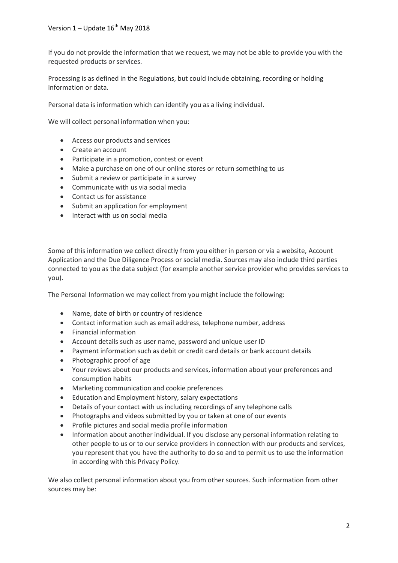If you do not provide the information that we request, we may not be able to provide you with the requested products or services.

Processing is as defined in the Regulations, but could include obtaining, recording or holding information or data.

Personal data is information which can identify you as a living individual.

We will collect personal information when you:

- Access our products and services
- Create an account
- Participate in a promotion, contest or event
- Make a purchase on one of our online stores or return something to us
- Submit a review or participate in a survey
- Communicate with us via social media
- Contact us for assistance
- Submit an application for employment
- Interact with us on social media

Some of this information we collect directly from you either in person or via a website, Account Application and the Due Diligence Process or social media. Sources may also include third parties connected to you as the data subject (for example another service provider who provides services to you).

The Personal Information we may collect from you might include the following:

- Name, date of birth or country of residence
- Contact information such as email address, telephone number, address
- Financial information
- Account details such as user name, password and unique user ID
- Payment information such as debit or credit card details or bank account details
- Photographic proof of age
- Your reviews about our products and services, information about your preferences and consumption habits
- Marketing communication and cookie preferences
- Education and Employment history, salary expectations
- Details of your contact with us including recordings of any telephone calls
- Photographs and videos submitted by you or taken at one of our events
- Profile pictures and social media profile information
- Information about another individual. If you disclose any personal information relating to other people to us or to our service providers in connection with our products and services, you represent that you have the authority to do so and to permit us to use the information in according with this Privacy Policy.

We also collect personal information about you from other sources. Such information from other sources may be: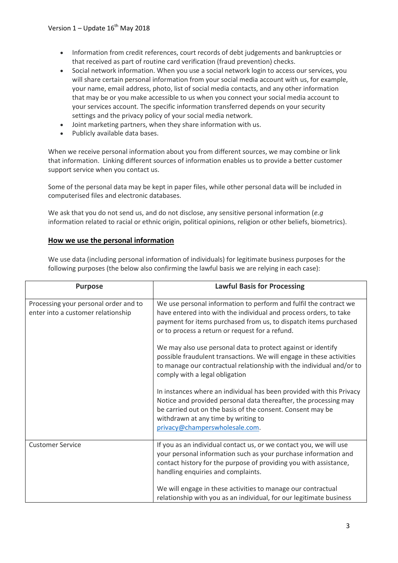- Information from credit references, court records of debt judgements and bankruptcies or that received as part of routine card verification (fraud prevention) checks.
- Social network information. When you use a social network login to access our services, you will share certain personal information from your social media account with us, for example, your name, email address, photo, list of social media contacts, and any other information that may be or you make accessible to us when you connect your social media account to your services account. The specific information transferred depends on your security settings and the privacy policy of your social media network.
- Joint marketing partners, when they share information with us.
- Publicly available data bases.

When we receive personal information about you from different sources, we may combine or link that information. Linking different sources of information enables us to provide a better customer support service when you contact us.

Some of the personal data may be kept in paper files, while other personal data will be included in computerised files and electronic databases.

We ask that you do not send us, and do not disclose, any sensitive personal information (*e.g* information related to racial or ethnic origin, political opinions, religion or other beliefs, biometrics).

## **[How we use the personal information](https://legal.brown-forman.com/privacy-policy/english/#information_we_receive_from_you)**

We use data (including personal information of individuals) for legitimate business purposes for the following purposes (the below also confirming the lawful basis we are relying in each case):

| <b>Purpose</b>                                                              | <b>Lawful Basis for Processing</b>                                                                                                                                                                                                                                              |
|-----------------------------------------------------------------------------|---------------------------------------------------------------------------------------------------------------------------------------------------------------------------------------------------------------------------------------------------------------------------------|
| Processing your personal order and to<br>enter into a customer relationship | We use personal information to perform and fulfil the contract we<br>have entered into with the individual and process orders, to take<br>payment for items purchased from us, to dispatch items purchased<br>or to process a return or request for a refund.                   |
|                                                                             | We may also use personal data to protect against or identify<br>possible fraudulent transactions. We will engage in these activities<br>to manage our contractual relationship with the individual and/or to<br>comply with a legal obligation                                  |
|                                                                             | In instances where an individual has been provided with this Privacy<br>Notice and provided personal data thereafter, the processing may<br>be carried out on the basis of the consent. Consent may be<br>withdrawn at any time by writing to<br>privacy@champerswholesale.com. |
| <b>Customer Service</b>                                                     | If you as an individual contact us, or we contact you, we will use<br>your personal information such as your purchase information and<br>contact history for the purpose of providing you with assistance,<br>handling enquiries and complaints.                                |
|                                                                             | We will engage in these activities to manage our contractual<br>relationship with you as an individual, for our legitimate business                                                                                                                                             |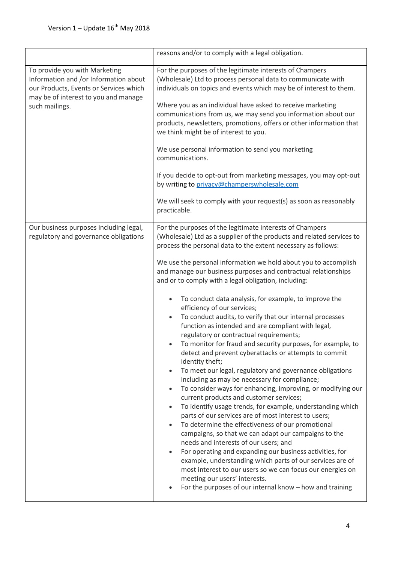|                                                                                                                                                                            | reasons and/or to comply with a legal obligation.                                                                                                                                                                                                                                                                                                                                                                                                                                                                                                                                                                                                                                                                                                                                                                                                                                                                                                                                                                                                                                                                                                                                                                                                                                                                                                                                                                                                                                                                                                                                      |
|----------------------------------------------------------------------------------------------------------------------------------------------------------------------------|----------------------------------------------------------------------------------------------------------------------------------------------------------------------------------------------------------------------------------------------------------------------------------------------------------------------------------------------------------------------------------------------------------------------------------------------------------------------------------------------------------------------------------------------------------------------------------------------------------------------------------------------------------------------------------------------------------------------------------------------------------------------------------------------------------------------------------------------------------------------------------------------------------------------------------------------------------------------------------------------------------------------------------------------------------------------------------------------------------------------------------------------------------------------------------------------------------------------------------------------------------------------------------------------------------------------------------------------------------------------------------------------------------------------------------------------------------------------------------------------------------------------------------------------------------------------------------------|
| To provide you with Marketing<br>Information and /or Information about<br>our Products, Events or Services which<br>may be of interest to you and manage<br>such mailings. | For the purposes of the legitimate interests of Champers<br>(Wholesale) Ltd to process personal data to communicate with<br>individuals on topics and events which may be of interest to them.<br>Where you as an individual have asked to receive marketing<br>communications from us, we may send you information about our<br>products, newsletters, promotions, offers or other information that<br>we think might be of interest to you.<br>We use personal information to send you marketing<br>communications.<br>If you decide to opt-out from marketing messages, you may opt-out<br>by writing to privacy@champerswholesale.com<br>We will seek to comply with your request(s) as soon as reasonably<br>practicable.                                                                                                                                                                                                                                                                                                                                                                                                                                                                                                                                                                                                                                                                                                                                                                                                                                                         |
| Our business purposes including legal,<br>regulatory and governance obligations                                                                                            | For the purposes of the legitimate interests of Champers<br>(Wholesale) Ltd as a supplier of the products and related services to<br>process the personal data to the extent necessary as follows:<br>We use the personal information we hold about you to accomplish<br>and manage our business purposes and contractual relationships<br>and or to comply with a legal obligation, including:<br>To conduct data analysis, for example, to improve the<br>efficiency of our services;<br>To conduct audits, to verify that our internal processes<br>function as intended and are compliant with legal,<br>regulatory or contractual requirements;<br>To monitor for fraud and security purposes, for example, to<br>detect and prevent cyberattacks or attempts to commit<br>identity theft;<br>To meet our legal, regulatory and governance obligations<br>including as may be necessary for compliance;<br>To consider ways for enhancing, improving, or modifying our<br>current products and customer services;<br>To identify usage trends, for example, understanding which<br>parts of our services are of most interest to users;<br>To determine the effectiveness of our promotional<br>campaigns, so that we can adapt our campaigns to the<br>needs and interests of our users; and<br>For operating and expanding our business activities, for<br>example, understanding which parts of our services are of<br>most interest to our users so we can focus our energies on<br>meeting our users' interests.<br>For the purposes of our internal know - how and training |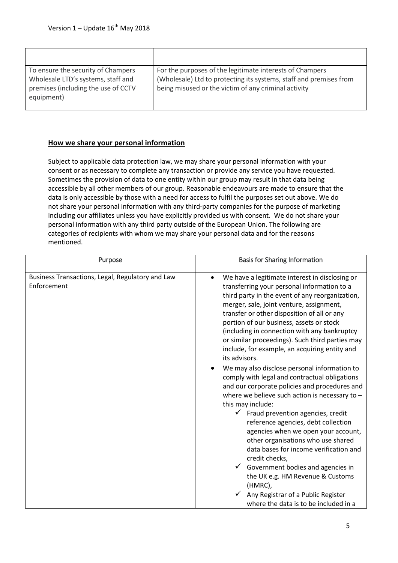| To ensure the security of Champers  | For the purposes of the legitimate interests of Champers           |
|-------------------------------------|--------------------------------------------------------------------|
| Wholesale LTD's systems, staff and  | (Wholesale) Ltd to protecting its systems, staff and premises from |
| premises (including the use of CCTV | being misused or the victim of any criminal activity               |
| equipment)                          |                                                                    |
|                                     |                                                                    |

## **[How we share your personal information](https://legal.brown-forman.com/privacy-policy/english/#how_do_we_use_personal_data)**

Subject to applicable data protection law, we may share your personal information with your consent or as necessary to complete any transaction or provide any service you have requested. Sometimes the provision of data to one entity within our group may result in that data being accessible by all other members of our group. Reasonable endeavours are made to ensure that the data is only accessible by those with a need for access to fulfil the purposes set out above. We do not share your personal information with any third-party companies for the purpose of marketing including our affiliates unless you have explicitly provided us with consent. We do not share your personal information with any third party outside of the European Union. The following are categories of recipients with whom we may share your personal data and for the reasons mentioned.

| Purpose                                                         | <b>Basis for Sharing Information</b>                                                                                                                                                                                                                                                                                                                                                                                                                                                                                                                                                                                                                                                                                                                                                                                                                                                                                      |
|-----------------------------------------------------------------|---------------------------------------------------------------------------------------------------------------------------------------------------------------------------------------------------------------------------------------------------------------------------------------------------------------------------------------------------------------------------------------------------------------------------------------------------------------------------------------------------------------------------------------------------------------------------------------------------------------------------------------------------------------------------------------------------------------------------------------------------------------------------------------------------------------------------------------------------------------------------------------------------------------------------|
| Business Transactions, Legal, Regulatory and Law<br>Enforcement | We have a legitimate interest in disclosing or<br>transferring your personal information to a<br>third party in the event of any reorganization,<br>merger, sale, joint venture, assignment,<br>transfer or other disposition of all or any<br>portion of our business, assets or stock<br>(including in connection with any bankruptcy<br>or similar proceedings). Such third parties may<br>include, for example, an acquiring entity and<br>its advisors.<br>We may also disclose personal information to<br>comply with legal and contractual obligations<br>and our corporate policies and procedures and<br>where we believe such action is necessary to $-$<br>this may include:<br>$\checkmark$ Fraud prevention agencies, credit<br>reference agencies, debt collection<br>agencies when we open your account,<br>other organisations who use shared<br>data bases for income verification and<br>credit checks, |
|                                                                 | Government bodies and agencies in<br>the UK e.g. HM Revenue & Customs<br>(HMRC),                                                                                                                                                                                                                                                                                                                                                                                                                                                                                                                                                                                                                                                                                                                                                                                                                                          |
|                                                                 | Any Registrar of a Public Register<br>where the data is to be included in a                                                                                                                                                                                                                                                                                                                                                                                                                                                                                                                                                                                                                                                                                                                                                                                                                                               |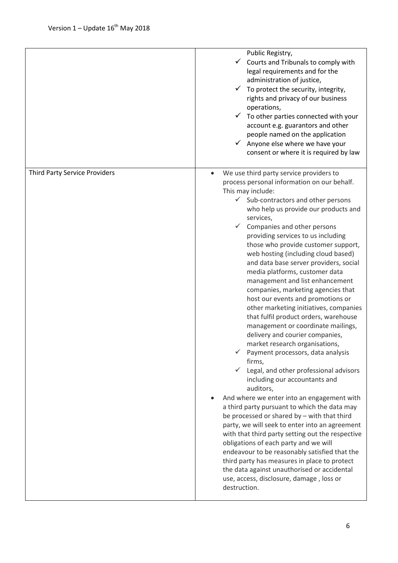|                                      | Public Registry,<br>Courts and Tribunals to comply with<br>✓<br>legal requirements and for the<br>administration of justice,<br>$\checkmark$ To protect the security, integrity,<br>rights and privacy of our business<br>operations,<br>$\checkmark$ To other parties connected with your<br>account e.g. guarantors and other<br>people named on the application<br>$\checkmark$ Anyone else where we have your<br>consent or where it is required by law                                                                                                                                                                                                                                                                                                                                                                                                                                                                                                                                                                                                                                                                                                                                                                                                                                                                                                                                                                               |
|--------------------------------------|-------------------------------------------------------------------------------------------------------------------------------------------------------------------------------------------------------------------------------------------------------------------------------------------------------------------------------------------------------------------------------------------------------------------------------------------------------------------------------------------------------------------------------------------------------------------------------------------------------------------------------------------------------------------------------------------------------------------------------------------------------------------------------------------------------------------------------------------------------------------------------------------------------------------------------------------------------------------------------------------------------------------------------------------------------------------------------------------------------------------------------------------------------------------------------------------------------------------------------------------------------------------------------------------------------------------------------------------------------------------------------------------------------------------------------------------|
| <b>Third Party Service Providers</b> | We use third party service providers to<br>process personal information on our behalf.<br>This may include:<br>$\checkmark$ Sub-contractors and other persons<br>who help us provide our products and<br>services,<br>Companies and other persons<br>$\checkmark$<br>providing services to us including<br>those who provide customer support,<br>web hosting (including cloud based)<br>and data base server providers, social<br>media platforms, customer data<br>management and list enhancement<br>companies, marketing agencies that<br>host our events and promotions or<br>other marketing initiatives, companies<br>that fulfil product orders, warehouse<br>management or coordinate mailings,<br>delivery and courier companies,<br>market research organisations,<br>$\checkmark$ Payment processors, data analysis<br>firms,<br>Legal, and other professional advisors<br>including our accountants and<br>auditors,<br>And where we enter into an engagement with<br>a third party pursuant to which the data may<br>be processed or shared by - with that third<br>party, we will seek to enter into an agreement<br>with that third party setting out the respective<br>obligations of each party and we will<br>endeavour to be reasonably satisfied that the<br>third party has measures in place to protect<br>the data against unauthorised or accidental<br>use, access, disclosure, damage, loss or<br>destruction. |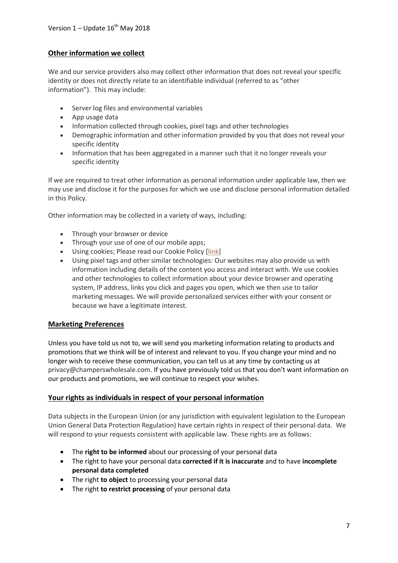## **[Other information we collect](https://legal.brown-forman.com/privacy-policy/english/#other_information_we_collect)**

We and our service providers also may collect other information that does not reveal your specific identity or does not directly relate to an identifiable individual (referred to as "other information"). This may include:

- Server log files and environmental variables
- App usage data
- Information collected through cookies, pixel tags and other technologies
- Demographic information and other information provided by you that does not reveal your specific identity
- Information that has been aggregated in a manner such that it no longer reveals your specific identity

If we are required to treat other information as personal information under applicable law, then we may use and disclose it for the purposes for which we use and disclose personal information detailed in this Policy.

Other information may be collected in a variety of ways, including:

- Through your browser or device
- Through your use of one of our mobile apps;
- Using cookies; Please read our Cookie Policy [\[link\]](https://legal.brown-forman.com/cookie-policy/english)
- Using pixel tags and other similar technologies: Our websites may also provide us with information including details of the content you access and interact with. We use cookies and other technologies to collect information about your device browser and operating system, IP address, links you click and pages you open, which we then use to tailor marketing messages. We will provide personalized services either with your consent or because we have a legitimate interest.

## **Marketing Preferences**

Unless you have told us not to, we will send you marketing information relating to products and promotions that we think will be of interest and relevant to you. If you change your mind and no longer wish to receive these communication, you can tell us at any time by contacting us at privacy@champerswholesale.com. If you have previously told us that you don't want information on our products and promotions, we will continue to respect your wishes.

## **Your rights as individuals in [respect of your personal information](https://legal.brown-forman.com/privacy-policy/english/#your_rights_in_respect_of_your_information)**

Data subjects in the European Union (or any jurisdiction with equivalent legislation to the European Union General Data Protection Regulation) have certain rights in respect of their personal data. We will respond to your requests consistent with applicable law. These rights are as follows:

- The **right to be informed** about our processing of your personal data
- The right to have your personal data **corrected if it is inaccurate** and to have **incomplete personal data completed**
- The right **to object** to processing your personal data
- The right **to restrict processing** of your personal data